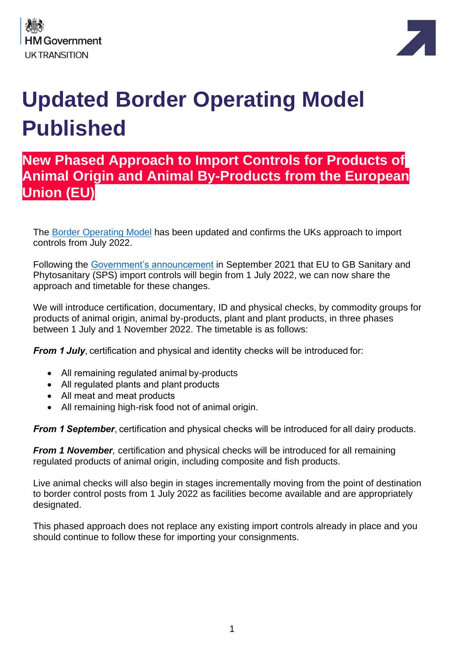



# **Updated Border Operating Model Published**

# **New Phased Approach to Import Controls for Products of Animal Origin and Animal By-Products from the European Union (EU)**

The [Border Operating Model](https://www.gov.uk/government/publications/the-border-operating-model) has been updated and confirms the UKs approach to import controls from July 2022.

Following the [Government's announcement](https://questions-statements.parliament.uk/written-statements/detail/2021-09-14/hcws285) in September 2021 that EU to GB Sanitary and Phytosanitary (SPS) import controls will begin from 1 July 2022, we can now share the approach and timetable for these changes.

We will introduce certification, documentary, ID and physical checks, by commodity groups for products of animal origin, animal by-products, plant and plant products, in three phases between 1 July and 1 November 2022. The timetable is as follows:

*From 1* **July**, certification and physical and identity checks will be introduced for:

- All remaining regulated animal by-products
- All regulated plants and plant products
- All meat and meat products
- All remaining high-risk food not of animal origin.

*From 1* **September**, certification and physical checks will be introduced for all dairy products.

*From 1 November,* certification and physical checks will be introduced for all remaining regulated products of animal origin, including composite and fish products.

Live animal checks will also begin in stages incrementally moving from the point of destination to border control posts from 1 July 2022 as facilities become available and are appropriately designated.

This phased approach does not replace any existing import controls already in place and you should continue to follow these for importing your consignments.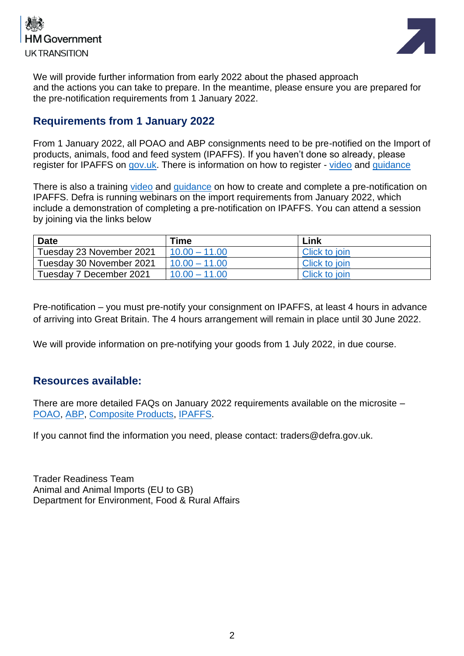



We will provide further information from early 2022 about the phased approach and the actions you can take to prepare. In the meantime, please ensure you are prepared for the pre-notification requirements from 1 January 2022.

# **Requirements from 1 January 2022**

From 1 January 2022, all POAO and ABP consignments need to be pre-notified on the Import of products, animals, food and feed system (IPAFFS). If you haven't done so already, please register for IPAFFS on [gov.uk.](https://www.gov.uk/guidance/import-of-products-animals-food-and-feed-system#register-for-ipaffs) There is information on how to register - [video](https://www.youtube.com/watch?app=desktop&v=9ftkdi7VjS8) and [guidance](https://www.gov.uk/guidance/import-of-products-animals-food-and-feed-system#register-for-ipaffs)

There is also a training [video](https://www.youtube.com/watch?app=desktop&v=_eTz70uw3XE) and [guidance](https://www.dropbox.com/scl/fi/nkg4nltxghurtqp9oncp3/Moving-Goods-from-the-European-Union-into-Great-Britain.-New-Requirements-from-January-2022.paper?dl=0&rlkey=xe77te92f6adbnez96b4h26s8#:uid=138885299980067847702463&h2=IPAFFS-Guidance-for-Traders-on) on how to create and complete a pre-notification on IPAFFS. Defra is running webinars on the import requirements from January 2022, which include a demonstration of completing a pre-notification on IPAFFS. You can attend a session by joining via the links below

| <b>Date</b>              | Time            | Link          |
|--------------------------|-----------------|---------------|
| Tuesday 23 November 2021 | $10.00 - 11.00$ | Click to join |
| Tuesday 30 November 2021 | $10.00 - 11.00$ | Click to join |
| Tuesday 7 December 2021  | $10.00 - 11.00$ | Click to join |

Pre-notification – you must pre-notify your consignment on IPAFFS, at least 4 hours in advance of arriving into Great Britain. The 4 hours arrangement will remain in place until 30 June 2022.

We will provide information on pre-notifying your goods from 1 July 2022, in due course.

# **Resources available:**

There are more detailed FAQs on January 2022 requirements available on the microsite – [POAO,](https://www.dropbox.com/s/huitnhdpss7xshg/EU-GB%20POAO%20FAQs%20v2.2.pdf?dl=0) [ABP,](https://www.dropbox.com/s/sxkkswuitflvcfd/EU-GB%20ABP%20FAQs%20v1.0.pdf?dl=0) [Composite Products,](https://www.dropbox.com/s/v3jqxmx792rrx26/EU-GB%20composite%20products%20FAQs%20v1.3.pdf?dl=0) [IPAFFS.](https://www.dropbox.com/s/b8pamrjrs0nfxcu/IPAFFS_FAQS_V1.0.pdf?dl=0)

If you cannot find the information you need, please contact: traders@defra.gov.uk.

Trader Readiness Team Animal and Animal Imports (EU to GB) Department for Environment, Food & Rural Affairs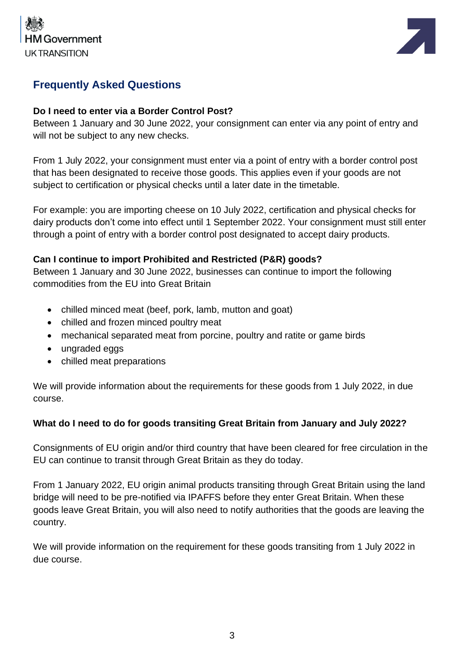



# **Frequently Asked Questions**

#### **Do I need to enter via a Border Control Post?**

Between 1 January and 30 June 2022, your consignment can enter via any point of entry and will not be subject to any new checks.

From 1 July 2022, your consignment must enter via a point of entry with a border control post that has been designated to receive those goods. This applies even if your goods are not subject to certification or physical checks until a later date in the timetable.

For example: you are importing cheese on 10 July 2022, certification and physical checks for dairy products don't come into effect until 1 September 2022. Your consignment must still enter through a point of entry with a border control post designated to accept dairy products.

#### **Can I continue to import Prohibited and Restricted (P&R) goods?**

Between 1 January and 30 June 2022, businesses can continue to import the following commodities from the EU into Great Britain

- chilled minced meat (beef, pork, lamb, mutton and goat)
- chilled and frozen minced poultry meat
- mechanical separated meat from porcine, poultry and ratite or game birds
- ungraded eggs
- chilled meat preparations

We will provide information about the requirements for these goods from 1 July 2022, in due course.

#### **What do I need to do for goods transiting Great Britain from January and July 2022?**

Consignments of EU origin and/or third country that have been cleared for free circulation in the EU can continue to transit through Great Britain as they do today.

From 1 January 2022, EU origin animal products transiting through Great Britain using the land bridge will need to be pre-notified via IPAFFS before they enter Great Britain. When these goods leave Great Britain, you will also need to notify authorities that the goods are leaving the country.

We will provide information on the requirement for these goods transiting from 1 July 2022 in due course.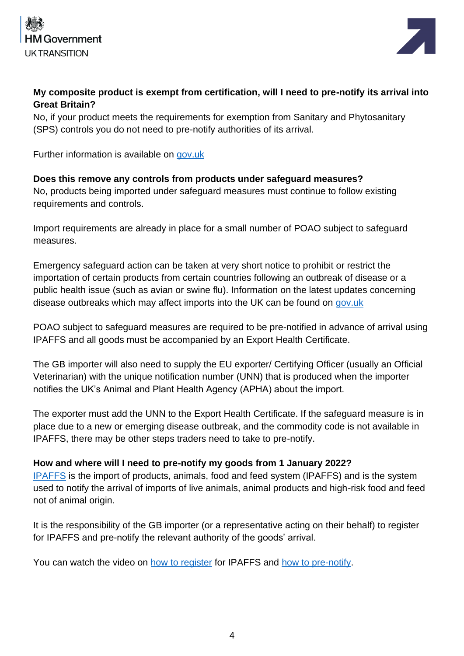



#### **My composite product is exempt from certification, will I need to pre-notify its arrival into Great Britain?**

No, if your product meets the requirements for exemption from Sanitary and Phytosanitary (SPS) controls you do not need to pre-notify authorities of its arrival.

Further information is available on [gov.uk](https://www.gov.uk/guidance/import-or-move-composite-products-from-the-eu-and-northern-ireland-to-great-britain)

**Does this remove any controls from products under safeguard measures?** No, products being imported under safeguard measures must continue to follow existing requirements and controls.

Import requirements are already in place for a small number of POAO subject to safeguard measures.

Emergency safeguard action can be taken at very short notice to prohibit or restrict the importation of certain products from certain countries following an outbreak of disease or a public health issue (such as avian or swine flu). Information on the latest updates concerning disease outbreaks which may affect imports into the UK can be found on [gov.uk](https://www.gov.uk/guidance/import-or-move-food-and-drink-from-the-eu-and-northern-ireland-to-great-britain#check-what-documents-you-need)

POAO subject to safeguard measures are required to be pre-notified in advance of arrival using IPAFFS and all goods must be accompanied by an Export Health Certificate.

The GB importer will also need to supply the EU exporter/ Certifying Officer (usually an Official Veterinarian) with the unique notification number (UNN) that is produced when the importer notifies the UK's Animal and Plant Health Agency (APHA) about the import.

The exporter must add the UNN to the Export Health Certificate. If the safeguard measure is in place due to a new or emerging disease outbreak, and the commodity code is not available in IPAFFS, there may be other steps traders need to take to pre-notify.

#### **How and where will I need to pre-notify my goods from 1 January 2022?**

[IPAFFS](https://www.gov.uk/guidance/import-of-products-animals-food-and-feed-system) is the import of products, animals, food and feed system (IPAFFS) and is the system used to notify the arrival of imports of live animals, animal products and high-risk food and feed not of animal origin.

It is the responsibility of the GB importer (or a representative acting on their behalf) to register for IPAFFS and pre-notify the relevant authority of the goods' arrival.

You can watch the video on [how to register](https://www.youtube.com/watch?v=9ftkdi7VjS8) for IPAFFS and [how to pre-notify.](https://www.youtube.com/watch?v=_eTz70uw3XE)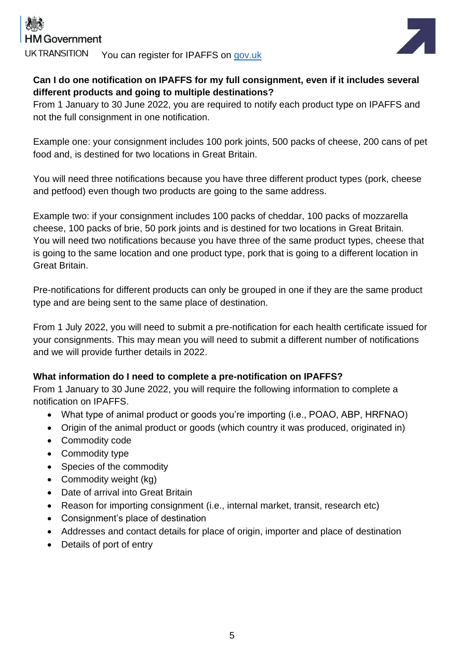

**UK TRANSITION** You can register for IPAFFS on gov.uk



# **Can I do one notification on IPAFFS for my full consignment, even if it includes several different products and going to multiple destinations?**

From 1 January to 30 June 2022, you are required to notify each product type on IPAFFS and not the full consignment in one notification.

Example one: your consignment includes 100 pork joints, 500 packs of cheese, 200 cans of pet food and, is destined for two locations in Great Britain.

You will need three notifications because you have three different product types (pork, cheese and petfood) even though two products are going to the same address.

Example two: if your consignment includes 100 packs of cheddar, 100 packs of mozzarella cheese, 100 packs of brie, 50 pork joints and is destined for two locations in Great Britain. You will need two notifications because you have three of the same product types, cheese that is going to the same location and one product type, pork that is going to a different location in Great Britain.

Pre-notifications for different products can only be grouped in one if they are the same product type and are being sent to the same place of destination.

From 1 July 2022, you will need to submit a pre-notification for each health certificate issued for your consignments. This may mean you will need to submit a different number of notifications and we will provide further details in 2022.

# **What information do I need to complete a pre-notification on IPAFFS?**

From 1 January to 30 June 2022, you will require the following information to complete a notification on IPAFFS.

- What type of animal product or goods you're importing (i.e., POAO, ABP, HRFNAO)
- Origin of the animal product or goods (which country it was produced, originated in)
- Commodity code
- Commodity type
- Species of the commodity
- Commodity weight (kg)
- Date of arrival into Great Britain
- Reason for importing consignment (i.e., internal market, transit, research etc)
- Consignment's place of destination
- Addresses and contact details for place of origin, importer and place of destination
- Details of port of entry